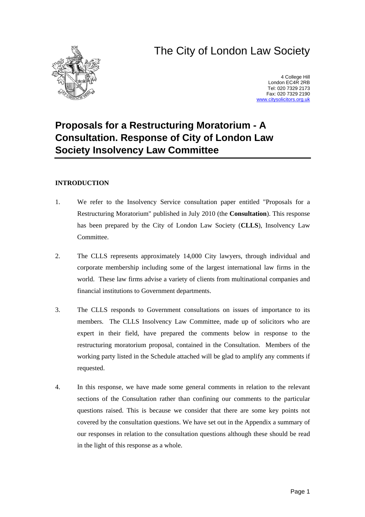# The City of London Law Society



4 College Hill London EC4R 2RB Tel: 020 7329 2173 Fax: 020 7329 2190 [www.citysolicitors.org.uk](http://www.citysolicitors.org.uk/)

## **Proposals for a Restructuring Moratorium - A Consultation. Response of City of London Law Society Insolvency Law Committee**

### **INTRODUCTION**

- 1. We refer to the Insolvency Service consultation paper entitled "Proposals for a Restructuring Moratorium" published in July 2010 (the **Consultation**). This response has been prepared by the City of London Law Society (**CLLS**), Insolvency Law Committee.
- 2. The CLLS represents approximately 14,000 City lawyers, through individual and corporate membership including some of the largest international law firms in the world. These law firms advise a variety of clients from multinational companies and financial institutions to Government departments.
- 3. The CLLS responds to Government consultations on issues of importance to its members. The CLLS Insolvency Law Committee, made up of solicitors who are expert in their field, have prepared the comments below in response to the restructuring moratorium proposal, contained in the Consultation. Members of the working party listed in the Schedule attached will be glad to amplify any comments if requested.
- 4. In this response, we have made some general comments in relation to the relevant sections of the Consultation rather than confining our comments to the particular questions raised. This is because we consider that there are some key points not covered by the consultation questions. We have set out in the Appendix a summary of our responses in relation to the consultation questions although these should be read in the light of this response as a whole.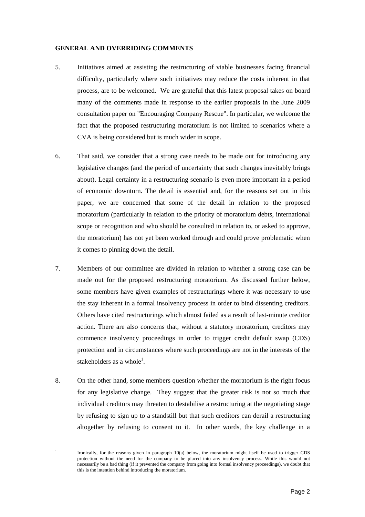#### **GENERAL AND OVERRIDING COMMENTS**

- 5. Initiatives aimed at assisting the restructuring of viable businesses facing financial difficulty, particularly where such initiatives may reduce the costs inherent in that process, are to be welcomed. We are grateful that this latest proposal takes on board many of the comments made in response to the earlier proposals in the June 2009 consultation paper on "Encouraging Company Rescue". In particular, we welcome the fact that the proposed restructuring moratorium is not limited to scenarios where a CVA is being considered but is much wider in scope.
- 6. That said, we consider that a strong case needs to be made out for introducing any legislative changes (and the period of uncertainty that such changes inevitably brings about). Legal certainty in a restructuring scenario is even more important in a period of economic downturn. The detail is essential and, for the reasons set out in this paper, we are concerned that some of the detail in relation to the proposed moratorium (particularly in relation to the priority of moratorium debts, international scope or recognition and who should be consulted in relation to, or asked to approve, the moratorium) has not yet been worked through and could prove problematic when it comes to pinning down the detail.
- 7. Members of our committee are divided in relation to whether a strong case can be made out for the proposed restructuring moratorium. As discussed further below, some members have given examples of restructurings where it was necessary to use the stay inherent in a formal insolvency process in order to bind dissenting creditors. Others have cited restructurings which almost failed as a result of last-minute creditor action. There are also concerns that, without a statutory moratorium, creditors may commence insolvency proceedings in order to trigger credit default swap (CDS) protection and in circumstances where such proceedings are not in the interests of the stakeholders as a whole<sup>1</sup>[.](#page-1-0)
- 8. On the other hand, some members question whether the moratorium is the right focus for any legislative change. They suggest that the greater risk is not so much that individual creditors may threaten to destabilise a restructuring at the negotiating stage by refusing to sign up to a standstill but that such creditors can derail a restructuring altogether by refusing to consent to it. In other words, the key challenge in a

<span id="page-1-0"></span><sup>1</sup> Ironically, for the reasons given in paragraph 10(a) below, the moratorium might itself be used to trigger CDS protection without the need for the company to be placed into any insolvency process. While this would not necessarily be a bad thing (if it prevented the company from going into formal insolvency proceedings), we doubt that this is the intention behind introducing the moratorium.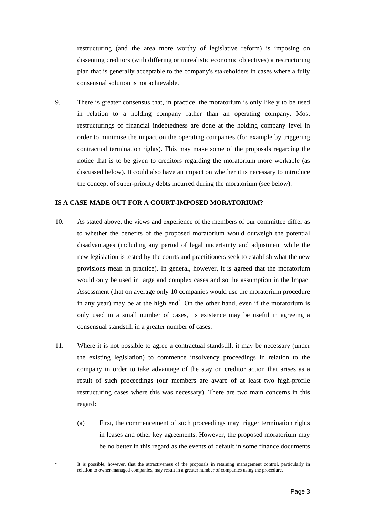restructuring (and the area more worthy of legislative reform) is imposing on dissenting creditors (with differing or unrealistic economic objectives) a restructuring plan that is generally acceptable to the company's stakeholders in cases where a fully consensual solution is not achievable.

9. There is greater consensus that, in practice, the moratorium is only likely to be used in relation to a holding company rather than an operating company. Most restructurings of financial indebtedness are done at the holding company level in order to minimise the impact on the operating companies (for example by triggering contractual termination rights). This may make some of the proposals regarding the notice that is to be given to creditors regarding the moratorium more workable (as discussed below). It could also have an impact on whether it is necessary to introduce the concept of super-priority debts incurred during the moratorium (see below).

#### **IS A CASE MADE OUT FOR A COURT-IMPOSED MORATORIUM?**

- 10. As stated above, the views and experience of the members of our committee differ as to whether the benefits of the proposed moratorium would outweigh the potential disadvantages (including any period of legal uncertainty and adjustment while the new legislation is tested by the courts and practitioners seek to establish what the new provisions mean in practice). In general, however, it is agreed that the moratorium would only be used in large and complex cases and so the assumption in the Impact Assessment (that on average only 10 companies would use the moratorium procedure in any year) may be at the high end<sup>2</sup>. On the other hand, even if the moratorium is only used in a small number of c[ase](#page-2-0)s, its existence may be useful in agreeing a consensual standstill in a greater number of cases.
- 11. Where it is not possible to agree a contractual standstill, it may be necessary (under the existing legislation) to commence insolvency proceedings in relation to the company in order to take advantage of the stay on creditor action that arises as a result of such proceedings (our members are aware of at least two high-profile restructuring cases where this was necessary). There are two main concerns in this regard:
	- (a) First, the commencement of such proceedings may trigger termination rights in leases and other key agreements. However, the proposed moratorium may be no better in this regard as the events of default in some finance documents

<span id="page-2-0"></span><sup>2</sup> It is possible, however, that the attractiveness of the proposals in retaining management control, particularly in relation to owner-managed companies, may result in a greater number of companies using the procedure.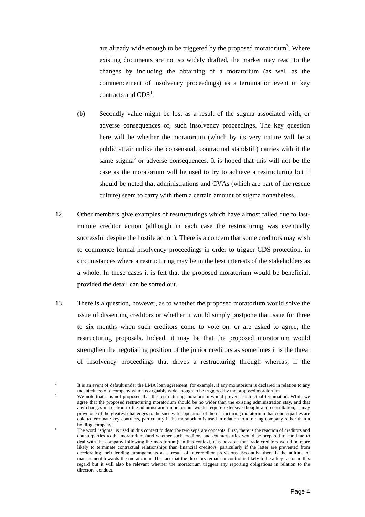are already wide enough to be triggered by the proposed moratorium<sup>3</sup>. Where existing documents are not so widely drafted, the market may rea[ct](#page-3-0) to the changes by including the obtaining of a moratorium (as well as the commencement of insolvency proceedings) as a termination event in key contracts and  $CDS<sup>4</sup>$ [.](#page-3-1)

- (b) Secondly value might be lost as a result of the stigma associated with, or adverse consequences of, such insolvency proceedings. The key question here will be whether the moratorium (which by its very nature will be a public affair unlike the consensual, contractual standstill) carries with it the same stigma<sup>5</sup> or adverse consequences. It is hoped that this will not be the case as the [m](#page-3-2)oratorium will be used to try to achieve a restructuring but it should be noted that administrations and CVAs (which are part of the rescue culture) seem to carry with them a certain amount of stigma nonetheless.
- 12. Other members give examples of restructurings which have almost failed due to lastminute creditor action (although in each case the restructuring was eventually successful despite the hostile action). There is a concern that some creditors may wish to commence formal insolvency proceedings in order to trigger CDS protection, in circumstances where a restructuring may be in the best interests of the stakeholders as a whole. In these cases it is felt that the proposed moratorium would be beneficial, provided the detail can be sorted out.
- 13. There is a question, however, as to whether the proposed moratorium would solve the issue of dissenting creditors or whether it would simply postpone that issue for three to six months when such creditors come to vote on, or are asked to agree, the restructuring proposals. Indeed, it may be that the proposed moratorium would strengthen the negotiating position of the junior creditors as sometimes it is the threat of insolvency proceedings that drives a restructuring through whereas, if the

<span id="page-3-0"></span>It is an event of default under the LMA loan agreement, for example, if any moratorium is declared in relation to any indebtedness of a company which is arguably wide enough to be triggered by the proposed moratorium.

<span id="page-3-1"></span>We note that it is not proposed that the restructuring moratorium would prevent contractual termination. While we agree that the proposed restructuring moratorium should be no wider than the existing administration stay, and that any changes in relation to the administration moratorium would require extensive thought and consultation, it may prove one of the greatest challenges to the successful operation of the restructuring moratorium that counterparties are able to terminate key contracts, particularly if the moratorium is used in relation to a trading company rather than a holding company.

<span id="page-3-2"></span><sup>5</sup> The word "stigma" is used in this context to describe two separate concepts. First, there is the reaction of creditors and counterparties to the moratorium (and whether such creditors and counterparties would be prepared to continue to deal with the company following the moratorium); in this context, it is possible that trade creditors would be more likely to terminate contractual relationships than financial creditors, particularly if the latter are prevented from accelerating their lending arrangements as a result of intercreditor provisions. Secondly, there is the attitude of management towards the moratorium. The fact that the directors remain in control is likely to be a key factor in this regard but it will also be relevant whether the moratorium triggers any reporting obligations in relation to the directors' conduct.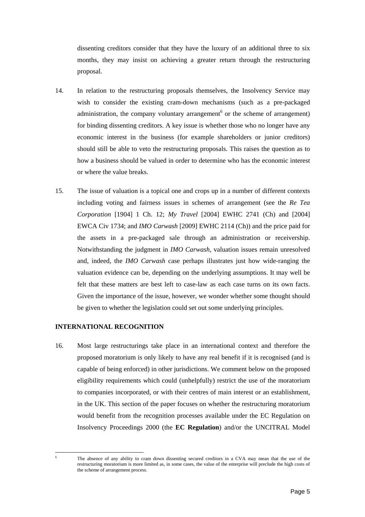dissenting creditors consider that they have the luxury of an additional three to six months, they may insist on achieving a greater return through the restructuring proposal.

- 14. In relation to the restructuring proposals themselves, the Insolvency Service may wish to consider the existing cram-down mechanisms (such as a pre-packaged administration, the company voluntary arrangement<sup>6</sup> or the scheme of arrangement) for binding dissenting creditors. A key issue is whet[he](#page-4-0)r those who no longer have any economic interest in the business (for example shareholders or junior creditors) should still be able to veto the restructuring proposals. This raises the question as to how a business should be valued in order to determine who has the economic interest or where the value breaks.
- 15. The issue of valuation is a topical one and crops up in a number of different contexts including voting and fairness issues in schemes of arrangement (see the *Re Tea Corporation* [1904] 1 Ch. 12; *My Travel* [2004] EWHC 2741 (Ch) and [2004] EWCA Civ 1734; and *IMO Carwash* [2009] EWHC 2114 (Ch)) and the price paid for the assets in a pre-packaged sale through an administration or receivership. Notwithstanding the judgment in *IMO Carwash*, valuation issues remain unresolved and, indeed, the *IMO Carwash* case perhaps illustrates just how wide-ranging the valuation evidence can be, depending on the underlying assumptions. It may well be felt that these matters are best left to case-law as each case turns on its own facts. Given the importance of the issue, however, we wonder whether some thought should be given to whether the legislation could set out some underlying principles.

#### **INTERNATIONAL RECOGNITION**

16. Most large restructurings take place in an international context and therefore the proposed moratorium is only likely to have any real benefit if it is recognised (and is capable of being enforced) in other jurisdictions. We comment below on the proposed eligibility requirements which could (unhelpfully) restrict the use of the moratorium to companies incorporated, or with their centres of main interest or an establishment, in the UK. This section of the paper focuses on whether the restructuring moratorium would benefit from the recognition processes available under the EC Regulation on Insolvency Proceedings 2000 (the **EC Regulation**) and/or the UNCITRAL Model

<span id="page-4-0"></span> $\overline{a}$ 

The absence of any ability to cram down dissenting secured creditors in a CVA may mean that the use of the restructuring moratorium is more limited as, in some cases, the value of the enterprise will preclude the high costs of the scheme of arrangement process.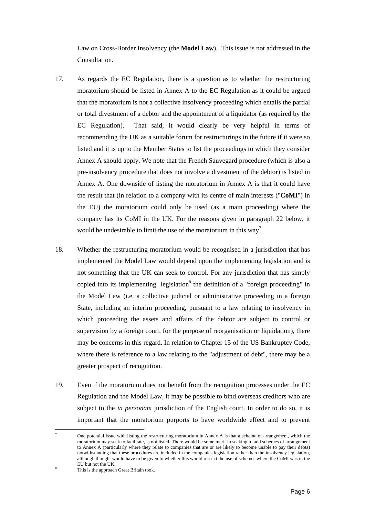Law on Cross-Border Insolvency (the **Model Law**). This issue is not addressed in the Consultation.

- 17. As regards the EC Regulation, there is a question as to whether the restructuring moratorium should be listed in Annex A to the EC Regulation as it could be argued that the moratorium is not a collective insolvency proceeding which entails the partial or total divestment of a debtor and the appointment of a liquidator (as required by the EC Regulation). That said, it would clearly be very helpful in terms of recommending the UK as a suitable forum for restructurings in the future if it were so listed and it is up to the Member States to list the proceedings to which they consider Annex A should apply. We note that the French Sauvegard procedure (which is also a pre-insolvency procedure that does not involve a divestment of the debtor) is listed in Annex A. One downside of listing the moratorium in Annex A is that it could have the result that (in relation to a company with its centre of main interests ("**CoMI**") in the EU) the moratorium could only be used (as a main proceeding) where the company has its CoMI in the UK. For the reasons given in paragraph 22 below, it would be undesirable to limit the use of the moratorium in this way<sup>7</sup>[.](#page-5-0)
- 18. Whether the restructuring moratorium would be recognised in a jurisdiction that has implemented the Model Law would depend upon the implementing legislation and is not something that the UK can seek to control. For any jurisdiction that has simply copied into its implementing legislation<sup>8</sup> the definition of a "foreign proceeding" in the Model Law (i.e. a collective judici[al](#page-5-1) or administrative proceeding in a foreign State, including an interim proceeding, pursuant to a law relating to insolvency in which proceeding the assets and affairs of the debtor are subject to control or supervision by a foreign court, for the purpose of reorganisation or liquidation), there may be concerns in this regard. In relation to Chapter 15 of the US Bankruptcy Code, where there is reference to a law relating to the "adjustment of debt", there may be a greater prospect of recognition.
- 19. Even if the moratorium does not benefit from the recognition processes under the EC Regulation and the Model Law, it may be possible to bind overseas creditors who are subject to the *in personam* jurisdiction of the English court. In order to do so, it is important that the moratorium purports to have worldwide effect and to prevent

<span id="page-5-0"></span><sup>7</sup> One potential issue with listing the restructuring moratorium in Annex A is that a scheme of arrangement, which the moratorium may seek to facilitate, is not listed. There would be some merit in seeking to add schemes of arrangement to Annex A (particularly where they relate to companies that are or are likely to become unable to pay their debts) notwithstanding that these procedures are included in the companies legislation rather than the insolvency legislation, although thought would have to be given to whether this would restrict the use of schemes where the CoMI was in the EU but not the UK.

<span id="page-5-1"></span><sup>8</sup> This is the approach Great Britain took.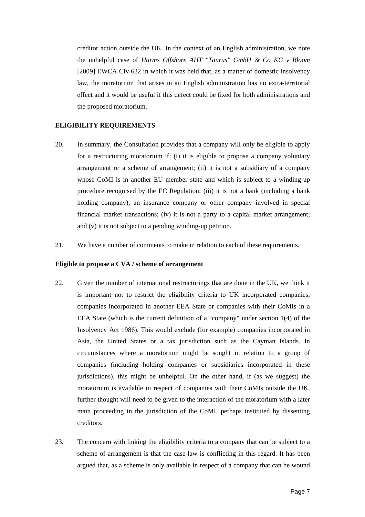creditor action outside the UK. In the context of an English administration, we note the unhelpful case of *Harms Offshore AHT "Taurus" GmbH & Co KG v Bloom* [2009] EWCA Civ 632 in which it was held that, as a matter of domestic insolvency law, the moratorium that arises in an English administration has no extra-territorial effect and it would be useful if this defect could be fixed for both administrations and the proposed moratorium.

#### **ELIGIBILITY REQUIREMENTS**

- 20. In summary, the Consultation provides that a company will only be eligible to apply for a restructuring moratorium if: (i) it is eligible to propose a company voluntary arrangement or a scheme of arrangement; (ii) it is not a subsidiary of a company whose CoMI is in another EU member state and which is subject to a winding-up procedure recognised by the EC Regulation; (iii) it is not a bank (including a bank holding company), an insurance company or other company involved in special financial market transactions; (iv) it is not a party to a capital market arrangement; and (v) it is not subject to a pending winding-up petition.
- 21. We have a number of comments to make in relation to each of these requirements.

#### **Eligible to propose a CVA / scheme of arrangement**

- 22. Given the number of international restructurings that are done in the UK, we think it is important not to restrict the eligibility criteria to UK incorporated companies, companies incorporated in another EEA State or companies with their CoMIs in a EEA State (which is the current definition of a "company" under section 1(4) of the Insolvency Act 1986). This would exclude (for example) companies incorporated in Asia, the United States or a tax jurisdiction such as the Cayman Islands. In circumstances where a moratorium might be sought in relation to a group of companies (including holding companies or subsidiaries incorporated in these jurisdictions), this might be unhelpful. On the other hand, if (as we suggest) the moratorium is available in respect of companies with their CoMIs outside the UK, further thought will need to be given to the interaction of the moratorium with a later main proceeding in the jurisdiction of the CoMI, perhaps instituted by dissenting creditors.
- 23. The concern with linking the eligibility criteria to a company that can be subject to a scheme of arrangement is that the case-law is conflicting in this regard. It has been argued that, as a scheme is only available in respect of a company that can be wound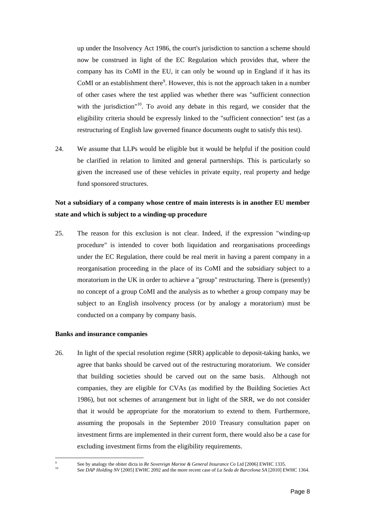up under the Insolvency Act 1986, the court's jurisdiction to sanction a scheme should now be construed in light of the EC Regulation which provides that, where the company has its CoMI in the EU, it can only be wound up in England if it has its CoMI or an establishment there $\degree$ . However, this is not the approach taken in a number of other cases where the test [ap](#page-7-0)plied was whether there was "sufficient connection with the jurisdiction<sup> $10$ </sup>. To avoid any debate in this regard, we consider that the eligibility criteria sho[uld](#page-7-1) be expressly linked to the "sufficient connection" test (as a restructuring of English law governed finance documents ought to satisfy this test).

24. We assume that LLPs would be eligible but it would be helpful if the position could be clarified in relation to limited and general partnerships. This is particularly so given the increased use of these vehicles in private equity, real property and hedge fund sponsored structures.

## **Not a subsidiary of a company whose centre of main interests is in another EU member state and which is subject to a winding-up procedure**

25. The reason for this exclusion is not clear. Indeed, if the expression "winding-up procedure" is intended to cover both liquidation and reorganisations proceedings under the EC Regulation, there could be real merit in having a parent company in a reorganisation proceeding in the place of its CoMI and the subsidiary subject to a moratorium in the UK in order to achieve a "group" restructuring. There is (presently) no concept of a group CoMI and the analysis as to whether a group company may be subject to an English insolvency process (or by analogy a moratorium) must be conducted on a company by company basis.

#### **Banks and insurance companies**

 $\overline{a}$ 9

26. In light of the special resolution regime (SRR) applicable to deposit-taking banks, we agree that banks should be carved out of the restructuring moratorium. We consider that building societies should be carved out on the same basis. Although not companies, they are eligible for CVAs (as modified by the Building Societies Act 1986), but not schemes of arrangement but in light of the SRR, we do not consider that it would be appropriate for the moratorium to extend to them. Furthermore, assuming the proposals in the September 2010 Treasury consultation paper on investment firms are implemented in their current form, there would also be a case for excluding investment firms from the eligibility requirements.

<span id="page-7-0"></span>See by analogy the obiter dicta in *Re Sovereign Marine & General Insurance Co* Ltd [2006] EWHC 1335.

<span id="page-7-1"></span><sup>10</sup> See *DAP Holding NV* [2005] EWHC 2092 and the more recent case of *La Seda de Barcelona SA* [2010] EWHC 1364.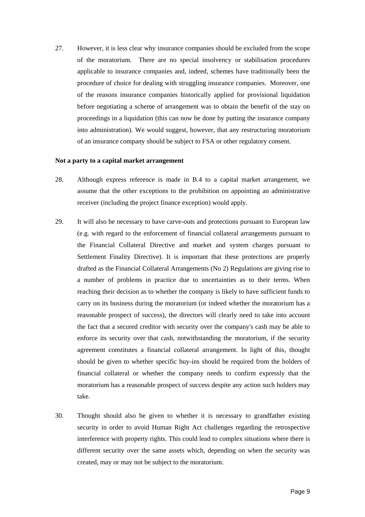27. However, it is less clear why insurance companies should be excluded from the scope of the moratorium. There are no special insolvency or stabilisation procedures applicable to insurance companies and, indeed, schemes have traditionally been the procedure of choice for dealing with struggling insurance companies. Moreover, one of the reasons insurance companies historically applied for provisional liquidation before negotiating a scheme of arrangement was to obtain the benefit of the stay on proceedings in a liquidation (this can now be done by putting the insurance company into administration). We would suggest, however, that any restructuring moratorium of an insurance company should be subject to FSA or other regulatory consent.

#### **Not a party to a capital market arrangement**

- 28. Although express reference is made in B.4 to a capital market arrangement, we assume that the other exceptions to the prohibition on appointing an administrative receiver (including the project finance exception) would apply.
- 29. It will also be necessary to have carve-outs and protections pursuant to European law (e.g. with regard to the enforcement of financial collateral arrangements pursuant to the Financial Collateral Directive and market and system charges pursuant to Settlement Finality Directive). It is important that these protections are properly drafted as the Financial Collateral Arrangements (No 2) Regulations are giving rise to a number of problems in practice due to uncertainties as to their terms. When reaching their decision as to whether the company is likely to have sufficient funds to carry on its business during the moratorium (or indeed whether the moratorium has a reasonable prospect of success), the directors will clearly need to take into account the fact that a secured creditor with security over the company's cash may be able to enforce its security over that cash, notwithstanding the moratorium, if the security agreement constitutes a financial collateral arrangement. In light of this, thought should be given to whether specific buy-ins should be required from the holders of financial collateral or whether the company needs to confirm expressly that the moratorium has a reasonable prospect of success despite any action such holders may take.
- 30. Thought should also be given to whether it is necessary to grandfather existing security in order to avoid Human Right Act challenges regarding the retrospective interference with property rights. This could lead to complex situations where there is different security over the same assets which, depending on when the security was created, may or may not be subject to the moratorium.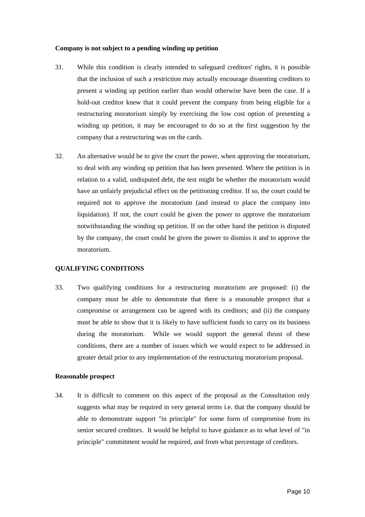#### **Company is not subject to a pending winding up petition**

- 31. While this condition is clearly intended to safeguard creditors' rights, it is possible that the inclusion of such a restriction may actually encourage dissenting creditors to present a winding up petition earlier than would otherwise have been the case. If a hold-out creditor knew that it could prevent the company from being eligible for a restructuring moratorium simply by exercising the low cost option of presenting a winding up petition, it may be encouraged to do so at the first suggestion by the company that a restructuring was on the cards.
- 32. An alternative would be to give the court the power, when approving the moratorium, to deal with any winding up petition that has been presented. Where the petition is in relation to a valid, undisputed debt, the test might be whether the moratorium would have an unfairly prejudicial effect on the petitioning creditor. If so, the court could be required not to approve the moratorium (and instead to place the company into liquidation). If not, the court could be given the power to approve the moratorium notwithstanding the winding up petition. If on the other hand the petition is disputed by the company, the court could be given the power to dismiss it and to approve the moratorium.

#### **QUALIFYING CONDITIONS**

33. Two qualifying conditions for a restructuring moratorium are proposed: (i) the company must be able to demonstrate that there is a reasonable prospect that a compromise or arrangement can be agreed with its creditors; and (ii) the company must be able to show that it is likely to have sufficient funds to carry on its business during the moratorium. While we would support the general thrust of these conditions, there are a number of issues which we would expect to be addressed in greater detail prior to any implementation of the restructuring moratorium proposal.

#### **Reasonable prospect**

34. It is difficult to comment on this aspect of the proposal as the Consultation only suggests what may be required in very general terms i.e. that the company should be able to demonstrate support "in principle" for some form of compromise from its senior secured creditors. It would be helpful to have guidance as to what level of "in principle" commitment would be required, and from what percentage of creditors.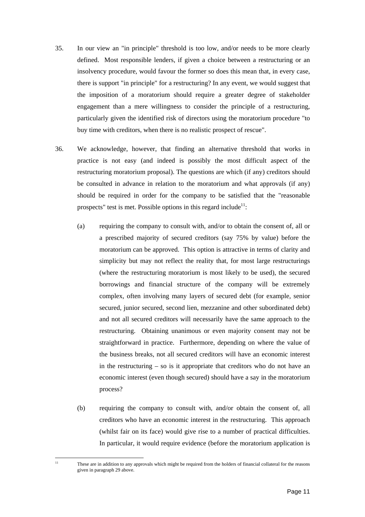- 35. In our view an "in principle" threshold is too low, and/or needs to be more clearly defined. Most responsible lenders, if given a choice between a restructuring or an insolvency procedure, would favour the former so does this mean that, in every case, there is support "in principle" for a restructuring? In any event, we would suggest that the imposition of a moratorium should require a greater degree of stakeholder engagement than a mere willingness to consider the principle of a restructuring, particularly given the identified risk of directors using the moratorium procedure "to buy time with creditors, when there is no realistic prospect of rescue".
- 36. We acknowledge, however, that finding an alternative threshold that works in practice is not easy (and indeed is possibly the most difficult aspect of the restructuring moratorium proposal). The questions are which (if any) creditors should be consulted in advance in relation to the moratorium and what approvals (if any) should be required in order for the company to be satisfied that the "reasonable prospects" test is met. Possible options in this regard include<sup>11</sup>:
	- (a) requiring the company to consult with, and/or to obtain the consent of, all or a prescribed majority of secured creditors (say 75% by value) before the moratorium can be approved. This option is attractive in terms of clarity and simplicity but may not reflect the reality that, for most large restructurings (where the restructuring moratorium is most likely to be used), the secured borrowings and financial structure of the company will be extremely complex, often involving many layers of secured debt (for example, senior secured, junior secured, second lien, mezzanine and other subordinated debt) and not all secured creditors will necessarily have the same approach to the restructuring. Obtaining unanimous or even majority consent may not be straightforward in practice. Furthermore, depending on where the value of the business breaks, not all secured creditors will have an economic interest in the restructuring – so is it appropriate that creditors who do not have an economic interest (even though secured) should have a say in the moratorium process?
	- (b) requiring the company to consult with, and/or obtain the consent of, all creditors who have an economic interest in the restructuring. This approach (whilst fair on its face) would give rise to a number of practical difficulties. In particular, it would require evidence (before the moratorium application is

<span id="page-10-0"></span> $\overline{11}$ 

These are in addition to any approvals which might be required from the holders of financial collateral for the reasons given in paragraph 29 above.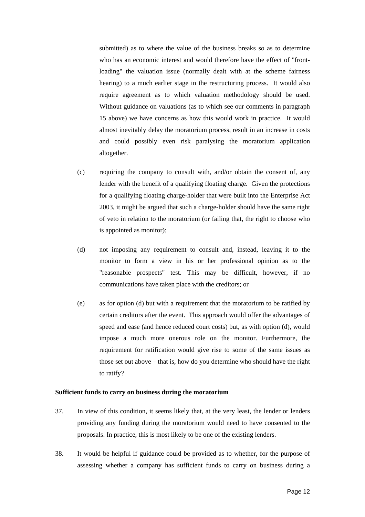submitted) as to where the value of the business breaks so as to determine who has an economic interest and would therefore have the effect of "frontloading" the valuation issue (normally dealt with at the scheme fairness hearing) to a much earlier stage in the restructuring process. It would also require agreement as to which valuation methodology should be used. Without guidance on valuations (as to which see our comments in paragraph 15 above) we have concerns as how this would work in practice. It would almost inevitably delay the moratorium process, result in an increase in costs and could possibly even risk paralysing the moratorium application altogether.

- (c) requiring the company to consult with, and/or obtain the consent of, any lender with the benefit of a qualifying floating charge. Given the protections for a qualifying floating charge-holder that were built into the Enterprise Act 2003, it might be argued that such a charge-holder should have the same right of veto in relation to the moratorium (or failing that, the right to choose who is appointed as monitor);
- (d) not imposing any requirement to consult and, instead, leaving it to the monitor to form a view in his or her professional opinion as to the "reasonable prospects" test. This may be difficult, however, if no communications have taken place with the creditors; or
- (e) as for option (d) but with a requirement that the moratorium to be ratified by certain creditors after the event. This approach would offer the advantages of speed and ease (and hence reduced court costs) but, as with option (d), would impose a much more onerous role on the monitor. Furthermore, the requirement for ratification would give rise to some of the same issues as those set out above – that is, how do you determine who should have the right to ratify?

#### **Sufficient funds to carry on business during the moratorium**

- 37. In view of this condition, it seems likely that, at the very least, the lender or lenders providing any funding during the moratorium would need to have consented to the proposals. In practice, this is most likely to be one of the existing lenders.
- 38. It would be helpful if guidance could be provided as to whether, for the purpose of assessing whether a company has sufficient funds to carry on business during a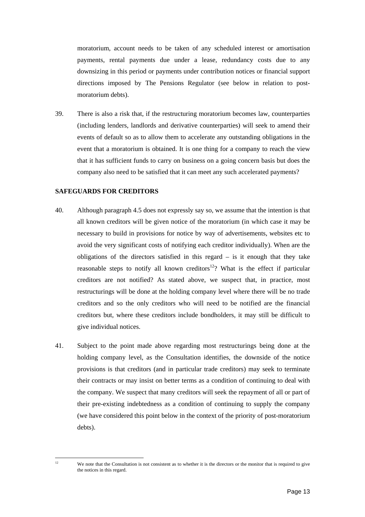moratorium, account needs to be taken of any scheduled interest or amortisation payments, rental payments due under a lease, redundancy costs due to any downsizing in this period or payments under contribution notices or financial support directions imposed by The Pensions Regulator (see below in relation to postmoratorium debts).

39. There is also a risk that, if the restructuring moratorium becomes law, counterparties (including lenders, landlords and derivative counterparties) will seek to amend their events of default so as to allow them to accelerate any outstanding obligations in the event that a moratorium is obtained. It is one thing for a company to reach the view that it has sufficient funds to carry on business on a going concern basis but does the company also need to be satisfied that it can meet any such accelerated payments?

#### **SAFEGUARDS FOR CREDITORS**

- 40. Although paragraph 4.5 does not expressly say so, we assume that the intention is that all known creditors will be given notice of the moratorium (in which case it may be necessary to build in provisions for notice by way of advertisements, websites etc to avoid the very significant costs of notifying each creditor individually). When are the obligations of the directors satisfied in this regard – is it enough that they take reasonable steps to notify all known creditors<sup>12</sup>? What is the effect if particular creditors are not notified? As stated above, [we](#page-12-0) suspect that, in practice, most restructurings will be done at the holding company level where there will be no trade creditors and so the only creditors who will need to be notified are the financial creditors but, where these creditors include bondholders, it may still be difficult to give individual notices.
- 41. Subject to the point made above regarding most restructurings being done at the holding company level, as the Consultation identifies, the downside of the notice provisions is that creditors (and in particular trade creditors) may seek to terminate their contracts or may insist on better terms as a condition of continuing to deal with the company. We suspect that many creditors will seek the repayment of all or part of their pre-existing indebtedness as a condition of continuing to supply the company (we have considered this point below in the context of the priority of post-moratorium debts).

<span id="page-12-0"></span> $\overline{12}$ 

We note that the Consultation is not consistent as to whether it is the directors or the monitor that is required to give the notices in this regard.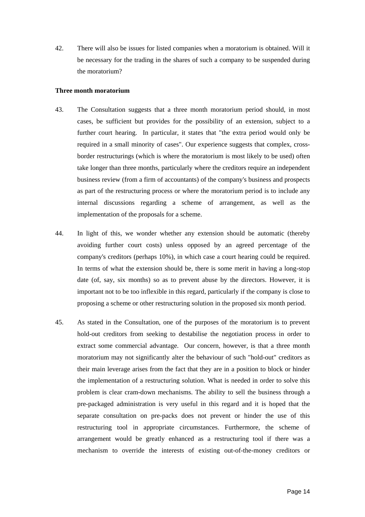42. There will also be issues for listed companies when a moratorium is obtained. Will it be necessary for the trading in the shares of such a company to be suspended during the moratorium?

#### **Three month moratorium**

- 43. The Consultation suggests that a three month moratorium period should, in most cases, be sufficient but provides for the possibility of an extension, subject to a further court hearing. In particular, it states that "the extra period would only be required in a small minority of cases". Our experience suggests that complex, crossborder restructurings (which is where the moratorium is most likely to be used) often take longer than three months, particularly where the creditors require an independent business review (from a firm of accountants) of the company's business and prospects as part of the restructuring process or where the moratorium period is to include any internal discussions regarding a scheme of arrangement, as well as the implementation of the proposals for a scheme.
- 44. In light of this, we wonder whether any extension should be automatic (thereby avoiding further court costs) unless opposed by an agreed percentage of the company's creditors (perhaps 10%), in which case a court hearing could be required. In terms of what the extension should be, there is some merit in having a long-stop date (of, say, six months) so as to prevent abuse by the directors. However, it is important not to be too inflexible in this regard, particularly if the company is close to proposing a scheme or other restructuring solution in the proposed six month period.
- 45. As stated in the Consultation, one of the purposes of the moratorium is to prevent hold-out creditors from seeking to destabilise the negotiation process in order to extract some commercial advantage. Our concern, however, is that a three month moratorium may not significantly alter the behaviour of such "hold-out" creditors as their main leverage arises from the fact that they are in a position to block or hinder the implementation of a restructuring solution. What is needed in order to solve this problem is clear cram-down mechanisms. The ability to sell the business through a pre-packaged administration is very useful in this regard and it is hoped that the separate consultation on pre-packs does not prevent or hinder the use of this restructuring tool in appropriate circumstances. Furthermore, the scheme of arrangement would be greatly enhanced as a restructuring tool if there was a mechanism to override the interests of existing out-of-the-money creditors or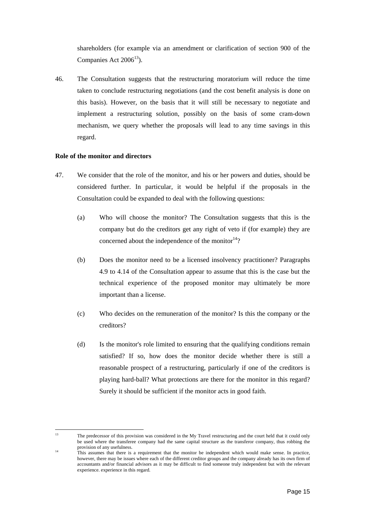shareholders (for example via an amendment or clarification of section 900 of the Companies Act  $2006^{13}$ [\)](#page-14-0).

46. The Consultation suggests that the restructuring moratorium will reduce the time taken to conclude restructuring negotiations (and the cost benefit analysis is done on this basis). However, on the basis that it will still be necessary to negotiate and implement a restructuring solution, possibly on the basis of some cram-down mechanism, we query whether the proposals will lead to any time savings in this regard.

#### **Role of the monitor and directors**

- 47. We consider that the role of the monitor, and his or her powers and duties, should be considered further. In particular, it would be helpful if the proposals in the Consultation could be expanded to deal with the following questions:
	- (a) Who will choose the monitor? The Consultation suggests that this is the company but do the creditors get any right of veto if (for example) they are concerned about the independence of the monitor $14$ ?
	- (b) Does the monitor need to be a licensed insolvency practitioner? Paragraphs 4.9 to 4.14 of the Consultation appear to assume that this is the case but the technical experience of the proposed monitor may ultimately be more important than a license.
	- (c) Who decides on the remuneration of the monitor? Is this the company or the creditors?
	- (d) Is the monitor's role limited to ensuring that the qualifying conditions remain satisfied? If so, how does the monitor decide whether there is still a reasonable prospect of a restructuring, particularly if one of the creditors is playing hard-ball? What protections are there for the monitor in this regard? Surely it should be sufficient if the monitor acts in good faith.

<span id="page-14-0"></span> $13$ <sup>13</sup> The predecessor of this provision was considered in the My Travel restructuring and the court held that it could only be used where the transferee company had the same capital structure as the transferor company, thus robbing the provision of any usefulness.

<sup>&</sup>lt;sup>14</sup> This assumes that there is a requirement that the monitor be independent which would make sense. In practice, however, there may be issues where each of the different creditor groups and the company already has its own firm of accountants and/or financial advisors as it may be difficult to find someone truly independent but with the relevant experience. experience in this regard.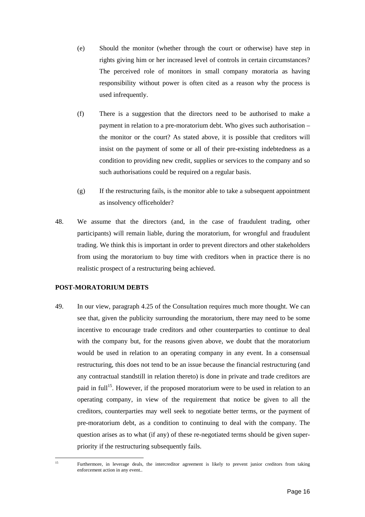- (e) Should the monitor (whether through the court or otherwise) have step in rights giving him or her increased level of controls in certain circumstances? The perceived role of monitors in small company moratoria as having responsibility without power is often cited as a reason why the process is used infrequently.
- (f) There is a suggestion that the directors need to be authorised to make a payment in relation to a pre-moratorium debt. Who gives such authorisation – the monitor or the court? As stated above, it is possible that creditors will insist on the payment of some or all of their pre-existing indebtedness as a condition to providing new credit, supplies or services to the company and so such authorisations could be required on a regular basis.
- (g) If the restructuring fails, is the monitor able to take a subsequent appointment as insolvency officeholder?
- 48. We assume that the directors (and, in the case of fraudulent trading, other participants) will remain liable, during the moratorium, for wrongful and fraudulent trading. We think this is important in order to prevent directors and other stakeholders from using the moratorium to buy time with creditors when in practice there is no realistic prospect of a restructuring being achieved.

#### **POST-MORATORIUM DEBTS**

49. In our view, paragraph 4.25 of the Consultation requires much more thought. We can see that, given the publicity surrounding the moratorium, there may need to be some incentive to encourage trade creditors and other counterparties to continue to deal with the company but, for the reasons given above, we doubt that the moratorium would be used in relation to an operating company in any event. In a consensual restructuring, this does not tend to be an issue because the financial restructuring (and any contractual standstill in relation thereto) is done in private and trade creditors are paid in full<sup>15</sup>. However, if the proposed moratorium were to be used in relation to an operating [com](#page-15-0)pany, in view of the requirement that notice be given to all the creditors, counterparties may well seek to negotiate better terms, or the payment of pre-moratorium debt, as a condition to continuing to deal with the company. The question arises as to what (if any) of these re-negotiated terms should be given superpriority if the restructuring subsequently fails.

<span id="page-15-0"></span> $\overline{15}$ 

<sup>15</sup> Furthermore, in leverage deals, the intercreditor agreement is likely to prevent junior creditors from taking enforcement action in any event..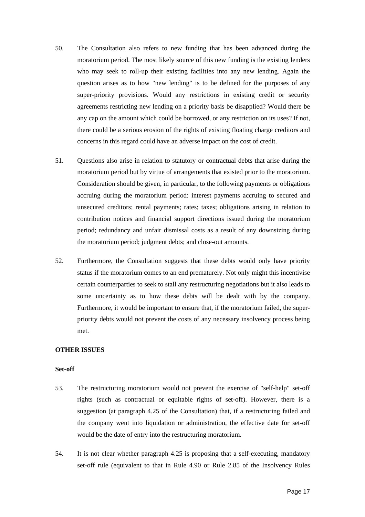- 50. The Consultation also refers to new funding that has been advanced during the moratorium period. The most likely source of this new funding is the existing lenders who may seek to roll-up their existing facilities into any new lending. Again the question arises as to how "new lending" is to be defined for the purposes of any super-priority provisions. Would any restrictions in existing credit or security agreements restricting new lending on a priority basis be disapplied? Would there be any cap on the amount which could be borrowed, or any restriction on its uses? If not, there could be a serious erosion of the rights of existing floating charge creditors and concerns in this regard could have an adverse impact on the cost of credit.
- 51. Questions also arise in relation to statutory or contractual debts that arise during the moratorium period but by virtue of arrangements that existed prior to the moratorium. Consideration should be given, in particular, to the following payments or obligations accruing during the moratorium period: interest payments accruing to secured and unsecured creditors; rental payments; rates; taxes; obligations arising in relation to contribution notices and financial support directions issued during the moratorium period; redundancy and unfair dismissal costs as a result of any downsizing during the moratorium period; judgment debts; and close-out amounts.
- 52. Furthermore, the Consultation suggests that these debts would only have priority status if the moratorium comes to an end prematurely. Not only might this incentivise certain counterparties to seek to stall any restructuring negotiations but it also leads to some uncertainty as to how these debts will be dealt with by the company. Furthermore, it would be important to ensure that, if the moratorium failed, the superpriority debts would not prevent the costs of any necessary insolvency process being met.

#### **OTHER ISSUES**

#### **Set-off**

- 53. The restructuring moratorium would not prevent the exercise of "self-help" set-off rights (such as contractual or equitable rights of set-off). However, there is a suggestion (at paragraph 4.25 of the Consultation) that, if a restructuring failed and the company went into liquidation or administration, the effective date for set-off would be the date of entry into the restructuring moratorium.
- 54. It is not clear whether paragraph 4.25 is proposing that a self-executing, mandatory set-off rule (equivalent to that in Rule 4.90 or Rule 2.85 of the Insolvency Rules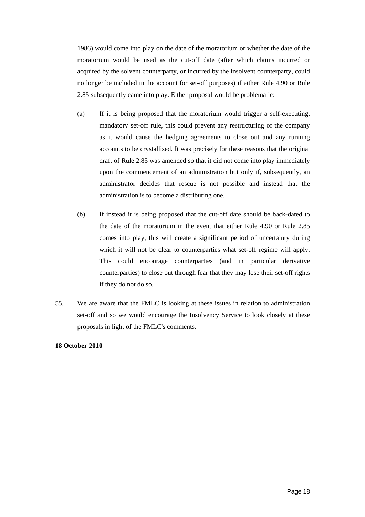1986) would come into play on the date of the moratorium or whether the date of the moratorium would be used as the cut-off date (after which claims incurred or acquired by the solvent counterparty, or incurred by the insolvent counterparty, could no longer be included in the account for set-off purposes) if either Rule 4.90 or Rule 2.85 subsequently came into play. Either proposal would be problematic:

- (a) If it is being proposed that the moratorium would trigger a self-executing, mandatory set-off rule, this could prevent any restructuring of the company as it would cause the hedging agreements to close out and any running accounts to be crystallised. It was precisely for these reasons that the original draft of Rule 2.85 was amended so that it did not come into play immediately upon the commencement of an administration but only if, subsequently, an administrator decides that rescue is not possible and instead that the administration is to become a distributing one.
- (b) If instead it is being proposed that the cut-off date should be back-dated to the date of the moratorium in the event that either Rule 4.90 or Rule 2.85 comes into play, this will create a significant period of uncertainty during which it will not be clear to counterparties what set-off regime will apply. This could encourage counterparties (and in particular derivative counterparties) to close out through fear that they may lose their set-off rights if they do not do so.
- 55. We are aware that the FMLC is looking at these issues in relation to administration set-off and so we would encourage the Insolvency Service to look closely at these proposals in light of the FMLC's comments.

#### **18 October 2010**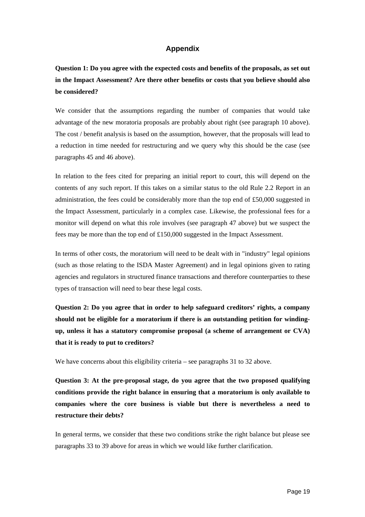### **Appendix**

**Question 1: Do you agree with the expected costs and benefits of the proposals, as set out in the Impact Assessment? Are there other benefits or costs that you believe should also be considered?** 

We consider that the assumptions regarding the number of companies that would take advantage of the new moratoria proposals are probably about right (see paragraph 10 above). The cost / benefit analysis is based on the assumption, however, that the proposals will lead to a reduction in time needed for restructuring and we query why this should be the case (see paragraphs 45 and 46 above).

In relation to the fees cited for preparing an initial report to court, this will depend on the contents of any such report. If this takes on a similar status to the old Rule 2.2 Report in an administration, the fees could be considerably more than the top end of £50,000 suggested in the Impact Assessment, particularly in a complex case. Likewise, the professional fees for a monitor will depend on what this role involves (see paragraph 47 above) but we suspect the fees may be more than the top end of £150,000 suggested in the Impact Assessment.

In terms of other costs, the moratorium will need to be dealt with in "industry" legal opinions (such as those relating to the ISDA Master Agreement) and in legal opinions given to rating agencies and regulators in structured finance transactions and therefore counterparties to these types of transaction will need to bear these legal costs.

**Question 2: Do you agree that in order to help safeguard creditors' rights, a company should not be eligible for a moratorium if there is an outstanding petition for windingup, unless it has a statutory compromise proposal (a scheme of arrangement or CVA) that it is ready to put to creditors?** 

We have concerns about this eligibility criteria – see paragraphs 31 to 32 above.

**Question 3: At the pre-proposal stage, do you agree that the two proposed qualifying conditions provide the right balance in ensuring that a moratorium is only available to companies where the core business is viable but there is nevertheless a need to restructure their debts?** 

In general terms, we consider that these two conditions strike the right balance but please see paragraphs 33 to 39 above for areas in which we would like further clarification.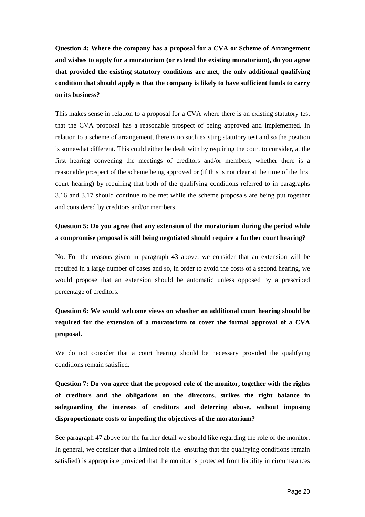**Question 4: Where the company has a proposal for a CVA or Scheme of Arrangement and wishes to apply for a moratorium (or extend the existing moratorium), do you agree that provided the existing statutory conditions are met, the only additional qualifying condition that should apply is that the company is likely to have sufficient funds to carry on its business?** 

This makes sense in relation to a proposal for a CVA where there is an existing statutory test that the CVA proposal has a reasonable prospect of being approved and implemented. In relation to a scheme of arrangement, there is no such existing statutory test and so the position is somewhat different. This could either be dealt with by requiring the court to consider, at the first hearing convening the meetings of creditors and/or members, whether there is a reasonable prospect of the scheme being approved or (if this is not clear at the time of the first court hearing) by requiring that both of the qualifying conditions referred to in paragraphs 3.16 and 3.17 should continue to be met while the scheme proposals are being put together and considered by creditors and/or members.

## **Question 5: Do you agree that any extension of the moratorium during the period while a compromise proposal is still being negotiated should require a further court hearing?**

No. For the reasons given in paragraph 43 above, we consider that an extension will be required in a large number of cases and so, in order to avoid the costs of a second hearing, we would propose that an extension should be automatic unless opposed by a prescribed percentage of creditors.

## **Question 6: We would welcome views on whether an additional court hearing should be required for the extension of a moratorium to cover the formal approval of a CVA proposal.**

We do not consider that a court hearing should be necessary provided the qualifying conditions remain satisfied.

**Question 7: Do you agree that the proposed role of the monitor, together with the rights of creditors and the obligations on the directors, strikes the right balance in safeguarding the interests of creditors and deterring abuse, without imposing disproportionate costs or impeding the objectives of the moratorium?** 

See paragraph 47 above for the further detail we should like regarding the role of the monitor. In general, we consider that a limited role (i.e. ensuring that the qualifying conditions remain satisfied) is appropriate provided that the monitor is protected from liability in circumstances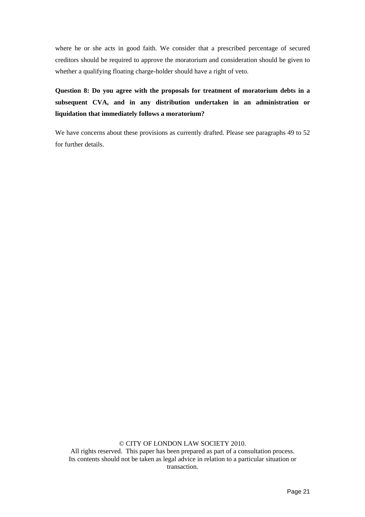where he or she acts in good faith. We consider that a prescribed percentage of secured creditors should be required to approve the moratorium and consideration should be given to whether a qualifying floating charge-holder should have a right of veto.

**Question 8: Do you agree with the proposals for treatment of moratorium debts in a subsequent CVA, and in any distribution undertaken in an administration or liquidation that immediately follows a moratorium?** 

We have concerns about these provisions as currently drafted. Please see paragraphs 49 to 52 for further details.

© CITY OF LONDON LAW SOCIETY 2010.

All rights reserved. This paper has been prepared as part of a consultation process. Its contents should not be taken as legal advice in relation to a particular situation or transaction.